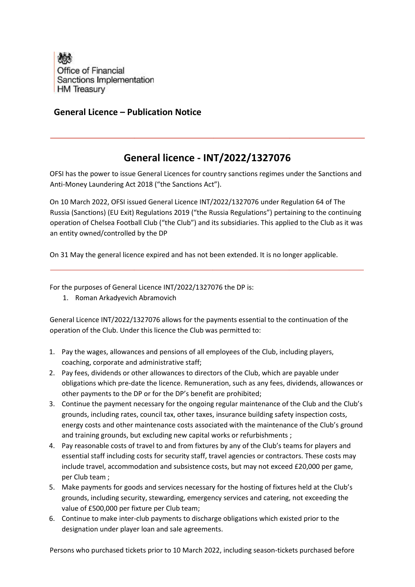

## **General Licence – Publication Notice**

## **General licence - INT/2022/1327076**

OFSI has the power to issue General Licences for country sanctions regimes under the Sanctions and Anti-Money Laundering Act 2018 ("the Sanctions Act").

On 10 March 2022, OFSI issued General Licence INT/2022/1327076 under Regulation 64 of The Russia (Sanctions) (EU Exit) Regulations 2019 ("the Russia Regulations") pertaining to the continuing operation of Chelsea Football Club ("the Club") and its subsidiaries. This applied to the Club as it was an entity owned/controlled by the DP

On 31 May the general licence expired and has not been extended. It is no longer applicable.

For the purposes of General Licence INT/2022/1327076 the DP is:

1. Roman Arkadyevich Abramovich

General Licence INT/2022/1327076 allows for the payments essential to the continuation of the operation of the Club. Under this licence the Club was permitted to:

- 1. Pay the wages, allowances and pensions of all employees of the Club, including players, coaching, corporate and administrative staff;
- 2. Pay fees, dividends or other allowances to directors of the Club, which are payable under obligations which pre-date the licence. Remuneration, such as any fees, dividends, allowances or other payments to the DP or for the DP's benefit are prohibited;
- 3. Continue the payment necessary for the ongoing regular maintenance of the Club and the Club's grounds, including rates, council tax, other taxes, insurance building safety inspection costs, energy costs and other maintenance costs associated with the maintenance of the Club's ground and training grounds, but excluding new capital works or refurbishments ;
- 4. Pay reasonable costs of travel to and from fixtures by any of the Club's teams for players and essential staff including costs for security staff, travel agencies or contractors. These costs may include travel, accommodation and subsistence costs, but may not exceed £20,000 per game, per Club team ;
- 5. Make payments for goods and services necessary for the hosting of fixtures held at the Club's grounds, including security, stewarding, emergency services and catering, not exceeding the value of £500,000 per fixture per Club team;
- 6. Continue to make inter-club payments to discharge obligations which existed prior to the designation under player loan and sale agreements.

Persons who purchased tickets prior to 10 March 2022, including season-tickets purchased before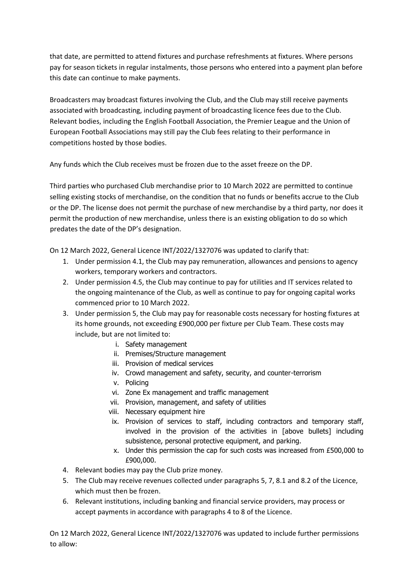that date, are permitted to attend fixtures and purchase refreshments at fixtures. Where persons pay for season tickets in regular instalments, those persons who entered into a payment plan before this date can continue to make payments.

Broadcasters may broadcast fixtures involving the Club, and the Club may still receive payments associated with broadcasting, including payment of broadcasting licence fees due to the Club. Relevant bodies, including the English Football Association, the Premier League and the Union of European Football Associations may still pay the Club fees relating to their performance in competitions hosted by those bodies.

Any funds which the Club receives must be frozen due to the asset freeze on the DP.

Third parties who purchased Club merchandise prior to 10 March 2022 are permitted to continue selling existing stocks of merchandise, on the condition that no funds or benefits accrue to the Club or the DP. The license does not permit the purchase of new merchandise by a third party, nor does it permit the production of new merchandise, unless there is an existing obligation to do so which predates the date of the DP's designation.

On 12 March 2022, General Licence INT/2022/1327076 was updated to clarify that:

- 1. Under permission 4.1, the Club may pay remuneration, allowances and pensions to agency workers, temporary workers and contractors.
- 2. Under permission 4.5, the Club may continue to pay for utilities and IT services related to the ongoing maintenance of the Club, as well as continue to pay for ongoing capital works commenced prior to 10 March 2022.
- 3. Under permission 5, the Club may pay for reasonable costs necessary for hosting fixtures at its home grounds, not exceeding £900,000 per fixture per Club Team. These costs may include, but are not limited to:
	- i. Safety management
	- ii. Premises/Structure management
	- iii. Provision of medical services
	- iv. Crowd management and safety, security, and counter-terrorism
	- v. Policing
	- vi. Zone Ex management and traffic management
	- vii. Provision, management, and safety of utilities
	- viii. Necessary equipment hire
	- ix. Provision of services to staff, including contractors and temporary staff, involved in the provision of the activities in [above bullets] including subsistence, personal protective equipment, and parking.
	- x. Under this permission the cap for such costs was increased from £500,000 to £900,000.
- 4. Relevant bodies may pay the Club prize money.
- 5. The Club may receive revenues collected under paragraphs 5, 7, 8.1 and 8.2 of the Licence, which must then be frozen.
- 6. Relevant institutions, including banking and financial service providers, may process or accept payments in accordance with paragraphs 4 to 8 of the Licence.

On 12 March 2022, General Licence INT/2022/1327076 was updated to include further permissions to allow: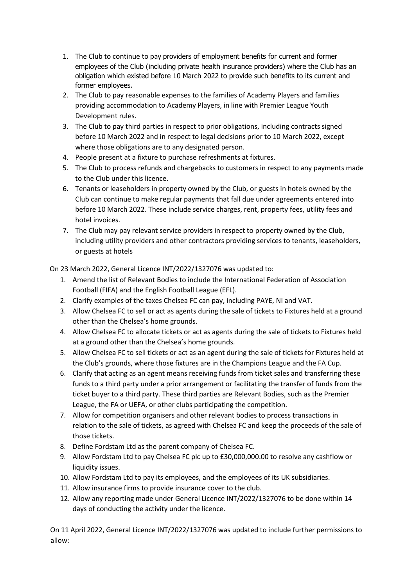- 1. The Club to continue to pay providers of employment benefits for current and former employees of the Club (including private health insurance providers) where the Club has an obligation which existed before 10 March 2022 to provide such benefits to its current and former employees.
- 2. The Club to pay reasonable expenses to the families of Academy Players and families providing accommodation to Academy Players, in line with Premier League Youth Development rules.
- 3. The Club to pay third parties in respect to prior obligations, including contracts signed before 10 March 2022 and in respect to legal decisions prior to 10 March 2022, except where those obligations are to any designated person.
- 4. People present at a fixture to purchase refreshments at fixtures.
- 5. The Club to process refunds and chargebacks to customers in respect to any payments made to the Club under this licence.
- 6. Tenants or leaseholders in property owned by the Club, or guests in hotels owned by the Club can continue to make regular payments that fall due under agreements entered into before 10 March 2022. These include service charges, rent, property fees, utility fees and hotel invoices.
- 7. The Club may pay relevant service providers in respect to property owned by the Club, including utility providers and other contractors providing services to tenants, leaseholders, or guests at hotels

On 23 March 2022, General Licence INT/2022/1327076 was updated to:

- 1. Amend the list of Relevant Bodies to include the International Federation of Association Football (FIFA) and the English Football League (EFL).
- 2. Clarify examples of the taxes Chelsea FC can pay, including PAYE, NI and VAT.
- 3. Allow Chelsea FC to sell or act as agents during the sale of tickets to Fixtures held at a ground other than the Chelsea's home grounds.
- 4. Allow Chelsea FC to allocate tickets or act as agents during the sale of tickets to Fixtures held at a ground other than the Chelsea's home grounds.
- 5. Allow Chelsea FC to sell tickets or act as an agent during the sale of tickets for Fixtures held at the Club's grounds, where those fixtures are in the Champions League and the FA Cup.
- 6. Clarify that acting as an agent means receiving funds from ticket sales and transferring these funds to a third party under a prior arrangement or facilitating the transfer of funds from the ticket buyer to a third party. These third parties are Relevant Bodies, such as the Premier League, the FA or UEFA, or other clubs participating the competition.
- 7. Allow for competition organisers and other relevant bodies to process transactions in relation to the sale of tickets, as agreed with Chelsea FC and keep the proceeds of the sale of those tickets.
- 8. Define Fordstam Ltd as the parent company of Chelsea FC.
- 9. Allow Fordstam Ltd to pay Chelsea FC plc up to £30,000,000.00 to resolve any cashflow or liquidity issues.
- 10. Allow Fordstam Ltd to pay its employees, and the employees of its UK subsidiaries.
- 11. Allow insurance firms to provide insurance cover to the club.
- 12. Allow any reporting made under General Licence INT/2022/1327076 to be done within 14 days of conducting the activity under the licence.

On 11 April 2022, General Licence INT/2022/1327076 was updated to include further permissions to allow: